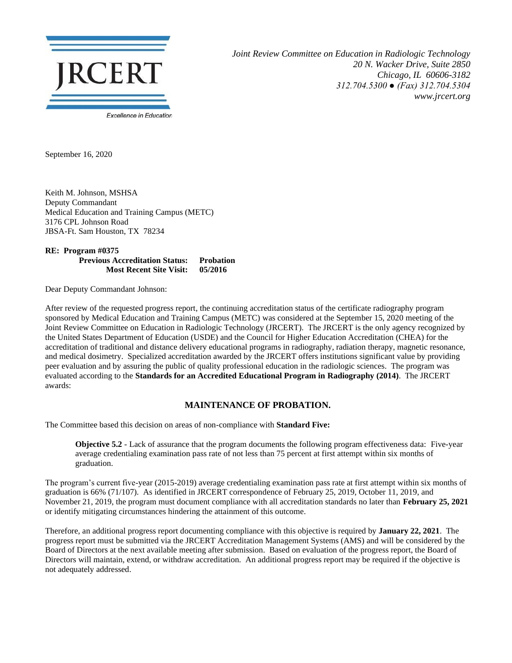

*Joint Review Committee on Education in Radiologic Technology 20 N. Wacker Drive, Suite 2850 Chicago, IL 60606-3182 312.704.5300 ● (Fax) 312.704.5304 www.jrcert.org*

September 16, 2020

Keith M. Johnson, MSHSA Deputy Commandant Medical Education and Training Campus (METC) 3176 CPL Johnson Road JBSA-Ft. Sam Houston, TX 78234

**RE: Program #0375 Previous Accreditation Status: Probation Most Recent Site Visit: 05/2016**

Dear Deputy Commandant Johnson:

After review of the requested progress report, the continuing accreditation status of the certificate radiography program sponsored by Medical Education and Training Campus (METC) was considered at the September 15, 2020 meeting of the Joint Review Committee on Education in Radiologic Technology (JRCERT). The JRCERT is the only agency recognized by the United States Department of Education (USDE) and the Council for Higher Education Accreditation (CHEA) for the accreditation of traditional and distance delivery educational programs in radiography, radiation therapy, magnetic resonance, and medical dosimetry. Specialized accreditation awarded by the JRCERT offers institutions significant value by providing peer evaluation and by assuring the public of quality professional education in the radiologic sciences. The program was evaluated according to the **Standards for an Accredited Educational Program in Radiography (2014)**. The JRCERT awards:

## **MAINTENANCE OF PROBATION.**

The Committee based this decision on areas of non-compliance with **Standard Five:**

**Objective 5.2** - Lack of assurance that the program documents the following program effectiveness data: Five-year average credentialing examination pass rate of not less than 75 percent at first attempt within six months of graduation.

The program's current five-year (2015-2019) average credentialing examination pass rate at first attempt within six months of graduation is 66% (71/107). As identified in JRCERT correspondence of February 25, 2019, October 11, 2019, and November 21, 2019, the program must document compliance with all accreditation standards no later than **February 25, 2021** or identify mitigating circumstances hindering the attainment of this outcome.

Therefore, an additional progress report documenting compliance with this objective is required by **January 22, 2021**. The progress report must be submitted via the JRCERT Accreditation Management Systems (AMS) and will be considered by the Board of Directors at the next available meeting after submission. Based on evaluation of the progress report, the Board of Directors will maintain, extend, or withdraw accreditation. An additional progress report may be required if the objective is not adequately addressed.